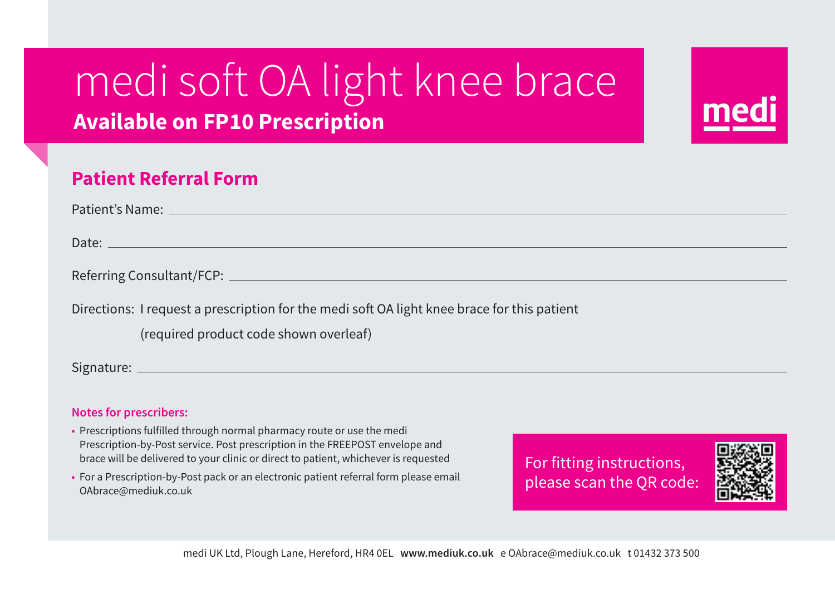## medi soft OA light knee brace **Available on FP10 Prescription**



| Patient's Name: ______________________                                                      |
|---------------------------------------------------------------------------------------------|
|                                                                                             |
|                                                                                             |
| Referring Consultant/FCP: <u>________________________________</u>                           |
|                                                                                             |
| Directions: I request a prescription for the medi soft OA light knee brace for this patient |
| (required product code shown overleaf)                                                      |
| Signature:                                                                                  |
|                                                                                             |

## **Notes for prescribers:**

- Prescriptions fulfilled through normal pharmacy route or use the medi Prescription-by-Post service. Post prescription in the FREEPOST envelope and brace will be delivered to your clinic or direct to patient, whichever is requested
- For a Prescription-by-Post pack or an electronic patient referral form please email OAbrace@mediuk.co.uk

For fitting instructions, please scan the QR code: